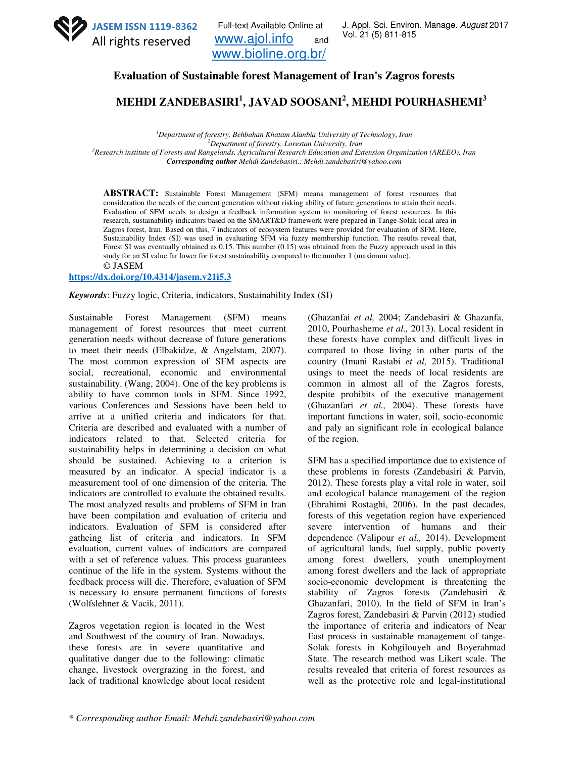

Full-text Available Online at www.ajol.info and www.bioline.org.br/

J. Appl. Sci. Environ. Manage. August 2017 Vol. 21 (5) 811-815

**Evaluation of Sustainable forest Management of Iran's Zagros forests** 

**MEHDI ZANDEBASIRI<sup>1</sup> , JAVAD SOOSANI<sup>2</sup> , MEHDI POURHASHEMI<sup>3</sup>**

*Department of forestry, Behbahan Khatam Alanbia University of Technology*, *Iran Department of forestry, Lorestan University, Iran Research institute of Forests and Rangelands, Agricultural Research Education and Extension Organization (AREEO), Iran Corresponding author Mehdi Zandebasiri,: Mehdi.zandebasiri@yahoo.com*

**ABSTRACT:** Sustainable Forest Management (SFM) means management of forest resources that consideration the needs of the current generation without risking ability of future generations to attain their needs. Evaluation of SFM needs to design a feedback information system to monitoring of forest resources. In this research, sustainability indicators based on the SMART&D framework were prepared in Tange-Solak local area in Zagros forest, Iran. Based on this, 7 indicators of ecosystem features were provided for evaluation of SFM. Here, Sustainability Index (SI) was used in evaluating SFM via fuzzy membership function. The results reveal that, Forest SI was eventually obtained as 0.15. This number (0.15) was obtained from the Fuzzy approach used in this study for an SI value far lower for forest sustainability compared to the number 1 (maximum value). © JASEM

## **https://dx.doi.org/10.4314/jasem.v21i5.3**

*Keywords*: Fuzzy logic, Criteria, indicators, Sustainability Index (SI)

Sustainable Forest Management (SFM) means management of forest resources that meet current generation needs without decrease of future generations to meet their needs (Elbakidze, & Angelstam, 2007). The most common expression of SFM aspects are social, recreational, economic and environmental sustainability. (Wang, 2004). One of the key problems is ability to have common tools in SFM. Since 1992, various Conferences and Sessions have been held to arrive at a unified criteria and indicators for that. Criteria are described and evaluated with a number of indicators related to that. Selected criteria for sustainability helps in determining a decision on what should be sustained. Achieving to a criterion is measured by an indicator. A special indicator is a measurement tool of one dimension of the criteria. The indicators are controlled to evaluate the obtained results. The most analyzed results and problems of SFM in Iran have been compilation and evaluation of criteria and indicators. Evaluation of SFM is considered after gatheing list of criteria and indicators. In SFM evaluation, current values of indicators are compared with a set of reference values. This process guarantees continue of the life in the system. Systems without the feedback process will die. Therefore, evaluation of SFM is necessary to ensure permanent functions of forests (Wolfslehner & Vacik, 2011).

Zagros vegetation region is located in the West and Southwest of the country of Iran. Nowadays, these forests are in severe quantitative and qualitative danger due to the following: climatic change, livestock overgrazing in the forest, and lack of traditional knowledge about local resident (Ghazanfai *et al,* 2004; Zandebasiri & Ghazanfa, 2010, Pourhasheme *et al.,* 2013). Local resident in these forests have complex and difficult lives in compared to those living in other parts of the country (Imani Rastabi *et al,* 2015). Traditional usings to meet the needs of local residents are common in almost all of the Zagros forests, despite prohibits of the executive management (Ghazanfari *et al.,* 2004). These forests have important functions in water, soil, socio-economic and paly an significant role in ecological balance of the region.

SFM has a specified importance due to existence of these problems in forests (Zandebasiri & Parvin, 2012). These forests play a vital role in water, soil and ecological balance management of the region (Ebrahimi Rostaghi, 2006). In the past decades, forests of this vegetation region have experienced severe intervention of humans and their dependence (Valipour *et al.,* 2014). Development of agricultural lands, fuel supply, public poverty among forest dwellers, youth unemployment among forest dwellers and the lack of appropriate socio-economic development is threatening the stability of Zagros forests (Zandebasiri & Ghazanfari, 2010). In the field of SFM in Iran's Zagros forest, Zandebasiri & Parvin (2012) studied the importance of criteria and indicators of Near East process in sustainable management of tange-Solak forests in Kohgilouyeh and Boyerahmad State. The research method was Likert scale. The results revealed that criteria of forest resources as well as the protective role and legal-institutional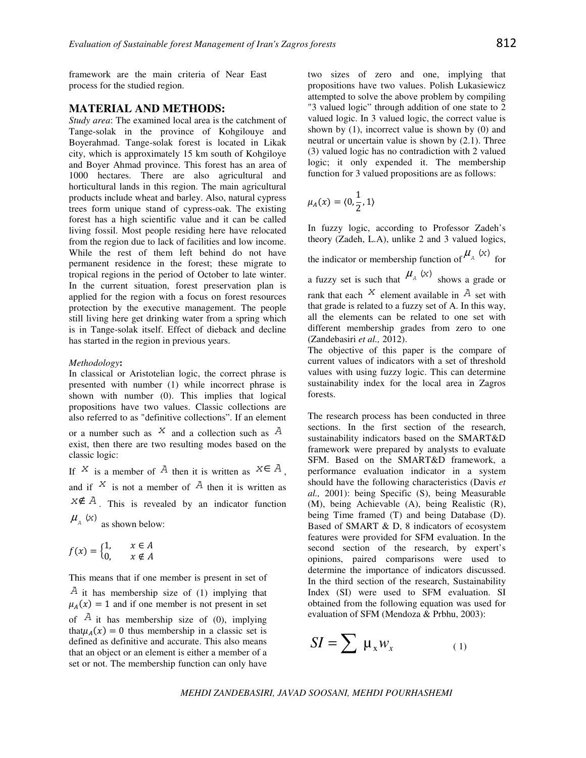framework are the main criteria of Near East process for the studied region.

## **MATERIAL AND METHODS:**

*Study area*: The examined local area is the catchment of Tange-solak in the province of Kohgilouye and Boyerahmad. Tange-solak forest is located in Likak city, which is approximately 15 km south of Kohgiloye and Boyer Ahmad province. This forest has an area of 1000 hectares. There are also agricultural and horticultural lands in this region. The main agricultural products include wheat and barley. Also, natural cypress trees form unique stand of cypress-oak. The existing forest has a high scientific value and it can be called living fossil. Most people residing here have relocated from the region due to lack of facilities and low income. While the rest of them left behind do not have permanent residence in the forest; these migrate to tropical regions in the period of October to late winter. In the current situation, forest preservation plan is applied for the region with a focus on forest resources protection by the executive management. The people still living here get drinking water from a spring which is in Tange-solak itself. Effect of dieback and decline has started in the region in previous years.

#### *Methodology***:**

In classical or Aristotelian logic, the correct phrase is presented with number (1) while incorrect phrase is shown with number (0). This implies that logical propositions have two values. Classic collections are also referred to as "definitive collections". If an element or a number such as  $X$  and a collection such as  $\overline{A}$ exist, then there are two resulting modes based on the classic logic: If X is a member of A then it is written as  $X \in A$ ,

and if  $X$  is not a member of  $\overline{A}$  then it is written as  $X \notin A$ . This is revealed by an indicator function  $\mu_A$  (x) as shown below:

$$
as\,sin\theta\,sin\,bc\,10\,w
$$

$$
f(x) = \begin{cases} 1, & x \in A \\ 0, & x \notin A \end{cases}
$$

This means that if one member is present in set of  $A$  it has membership size of (1) implying that  $\mu_A(x) = 1$  and if one member is not present in set of  $\overline{A}$  it has membership size of (0), implying that  $\mu_A(x) = 0$  thus membership in a classic set is defined as definitive and accurate. This also means that an object or an element is either a member of a set or not. The membership function can only have

two sizes of zero and one, implying that propositions have two values. Polish Lukasiewicz attempted to solve the above problem by compiling "3 valued logic" through addition of one state to 2 valued logic. In 3 valued logic, the correct value is shown by  $(1)$ , incorrect value is shown by  $(0)$  and neutral or uncertain value is shown by (2.1). Three (3) valued logic has no contradiction with 2 valued logic; it only expended it. The membership function for 3 valued propositions are as follows:

$$
\mu_A(x) = \langle 0, \frac{1}{2}, 1 \rangle
$$

In fuzzy logic, according to Professor Zadeh's theory (Zadeh, L.A), unlike 2 and 3 valued logics,

the indicator or membership function of  $\mu_A(x)$  for a fuzzy set is such that  $\mu_A(x)$  shows a grade or rank that each  $X$  element available in  $A$  set with that grade is related to a fuzzy set of A. In this way, all the elements can be related to one set with different membership grades from zero to one (Zandebasiri *et al.,* 2012).

The objective of this paper is the compare of current values of indicators with a set of threshold values with using fuzzy logic. This can determine sustainability index for the local area in Zagros forests.

The research process has been conducted in three sections. In the first section of the research, sustainability indicators based on the SMART&D framework were prepared by analysts to evaluate SFM. Based on the SMART&D framework, a performance evaluation indicator in a system should have the following characteristics (Davis *et al.,* 2001): being Specific (S), being Measurable (M), being Achievable (A), being Realistic (R), being Time framed (T) and being Database (D). Based of SMART & D, 8 indicators of ecosystem features were provided for SFM evaluation. In the second section of the research, by expert's opinions, paired comparisons were used to determine the importance of indicators discussed. In the third section of the research, Sustainability Index (SI) were used to SFM evaluation. SI obtained from the following equation was used for evaluation of SFM (Mendoza & Prbhu, 2003):

$$
SI = \sum \mu_x w_x \tag{1}
$$

*MEHDI ZANDEBASIRI, JAVAD SOOSANI, MEHDI POURHASHEMI*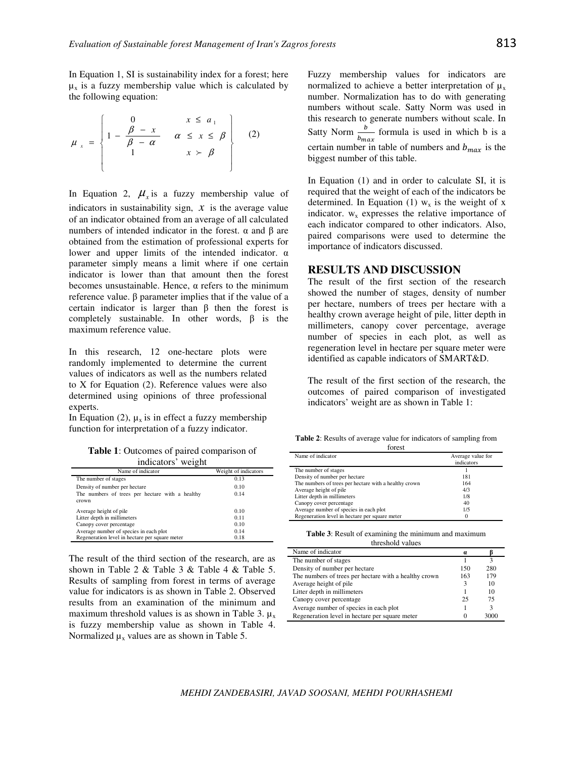In Equation 1, SI is sustainability index for a forest; here  $\mu_{x}$  is a fuzzy membership value which is calculated by the following equation:

$$
\mu_x = \begin{cases}\n0 & x \leq a_1 \\
1 - \frac{\beta - x}{\beta - \alpha} & \alpha \leq x \leq \beta \\
1 & x > \beta\n\end{cases}
$$
\n(2)

In Equation 2,  $\mu_{\rm x}$  is a fuzzy membership value of indicators in sustainability sign,  $x$  is the average value of an indicator obtained from an average of all calculated numbers of intended indicator in the forest.  $\alpha$  and  $\beta$  are obtained from the estimation of professional experts for lower and upper limits of the intended indicator. α parameter simply means a limit where if one certain indicator is lower than that amount then the forest becomes unsustainable. Hence,  $\alpha$  refers to the minimum reference value. β parameter implies that if the value of a certain indicator is larger than β then the forest is completely sustainable. In other words, β is the maximum reference value.

In this research, 12 one-hectare plots were randomly implemented to determine the current values of indicators as well as the numbers related to X for Equation (2). Reference values were also determined using opinions of three professional experts.

In Equation (2),  $\mu_x$  is in effect a fuzzy membership function for interpretation of a fuzzy indicator.

**Table 1**: Outcomes of paired comparison of indicators' weight

| Name of indicator                                        | Weight of indicators |
|----------------------------------------------------------|----------------------|
| The number of stages                                     | 0.13                 |
| Density of number per hectare                            | 0.10                 |
| The numbers of trees per hectare with a healthy<br>crown | 0.14                 |
| Average height of pile                                   | 0.10                 |
| Litter depth in millimeters                              | 0.11                 |
| Canopy cover percentage                                  | 0.10                 |
| Average number of species in each plot                   | 0.14                 |
| Regeneration level in hectare per square meter           | 0.18                 |

The result of the third section of the research, are as shown in Table 2 & Table 3 & Table 4 & Table 5. Results of sampling from forest in terms of average value for indicators is as shown in Table 2. Observed results from an examination of the minimum and maximum threshold values is as shown in Table 3.  $\mu_{x}$ is fuzzy membership value as shown in Table 4. Normalized  $\mu_x$  values are as shown in Table 5.

Fuzzy membership values for indicators are normalized to achieve a better interpretation of  $\mu_{x}$ number. Normalization has to do with generating numbers without scale. Satty Norm was used in this research to generate numbers without scale. In Satty Norm  $\frac{b}{b_{max}}$  formula is used in which b is a certain number in table of numbers and  $b_{max}$  is the biggest number of this table.

In Equation (1) and in order to calculate SI, it is required that the weight of each of the indicators be determined. In Equation (1)  $w_x$  is the weight of x indicator.  $w_x$  expresses the relative importance of each indicator compared to other indicators. Also, paired comparisons were used to determine the importance of indicators discussed.

# **RESULTS AND DISCUSSION**

The result of the first section of the research showed the number of stages, density of number per hectare, numbers of trees per hectare with a healthy crown average height of pile, litter depth in millimeters, canopy cover percentage, average number of species in each plot, as well as regeneration level in hectare per square meter were identified as capable indicators of SMART&D.

The result of the first section of the research, the outcomes of paired comparison of investigated indicators' weight are as shown in Table 1:

**Table 2**: Results of average value for indicators of sampling from forest

| Name of indicator                                     | Average value for |  |
|-------------------------------------------------------|-------------------|--|
|                                                       | indicators        |  |
| The number of stages                                  |                   |  |
| Density of number per hectare                         | 181               |  |
| The numbers of trees per hectare with a healthy crown | 164               |  |
| Average height of pile                                | 4/3               |  |
| Litter depth in millimeters                           | 1/8               |  |
| Canopy cover percentage                               | 40                |  |
| Average number of species in each plot                | 1/5               |  |
| Regeneration level in hectare per square meter        | 0                 |  |

**Table 3**: Result of examining the minimum and maximum threshold values

| Name of indicator                                     | $\boldsymbol{a}$ |      |
|-------------------------------------------------------|------------------|------|
| The number of stages                                  |                  | 3    |
| Density of number per hectare                         | 150              | 280  |
| The numbers of trees per hectare with a healthy crown | 163              | 179  |
| Average height of pile                                |                  | 10   |
| Litter depth in millimeters                           |                  | 10   |
| Canopy cover percentage                               | 25               | 75   |
| Average number of species in each plot                |                  | 3    |
| Regeneration level in hectare per square meter        |                  | 3000 |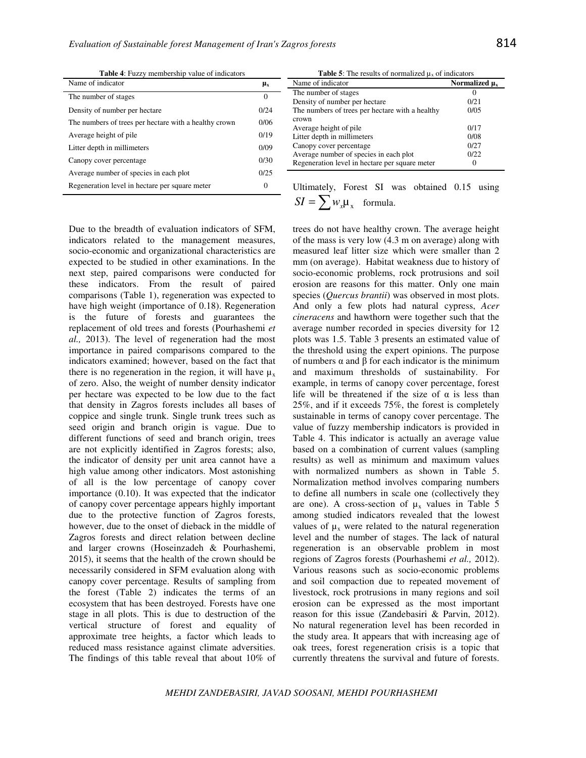**Table 4**: Fuzzy membership value of indicators

| Name of indicator                                     | μ <sub>x</sub> |
|-------------------------------------------------------|----------------|
| The number of stages                                  | $\Omega$       |
| Density of number per hectare                         | 0/24           |
| The numbers of trees per hectare with a healthy crown | 0/06           |
| Average height of pile                                | 0/19           |
| Litter depth in millimeters                           | 0/09           |
| Canopy cover percentage                               | 0/30           |
| Average number of species in each plot                | 0/25           |
| Regeneration level in hectare per square meter        | $\Omega$       |

**Table 5**: The results of normalized  $\mu_x$  of indicators

| Name of indicator                               | Normalized $\mu_x$ |
|-------------------------------------------------|--------------------|
| The number of stages                            |                    |
| Density of number per hectare                   | 0/21               |
| The numbers of trees per hectare with a healthy | 0/0.5              |
| crown                                           |                    |
| Average height of pile                          | 0/17               |
| Litter depth in millimeters                     | 0/08               |
| Canopy cover percentage                         | 0/27               |
| Average number of species in each plot          | 0/22               |
| Regeneration level in hectare per square meter  |                    |

Due to the breadth of evaluation indicators of SFM, indicators related to the management measures, socio-economic and organizational characteristics are expected to be studied in other examinations. In the next step, paired comparisons were conducted for these indicators. From the result of paired comparisons (Table 1), regeneration was expected to have high weight (importance of 0.18). Regeneration is the future of forests and guarantees the replacement of old trees and forests (Pourhashemi *et al.,* 2013). The level of regeneration had the most importance in paired comparisons compared to the indicators examined; however, based on the fact that there is no regeneration in the region, it will have  $\mu_x$ of zero. Also, the weight of number density indicator per hectare was expected to be low due to the fact that density in Zagros forests includes all bases of coppice and single trunk. Single trunk trees such as seed origin and branch origin is vague. Due to different functions of seed and branch origin, trees are not explicitly identified in Zagros forests; also, the indicator of density per unit area cannot have a high value among other indicators. Most astonishing of all is the low percentage of canopy cover importance (0.10). It was expected that the indicator of canopy cover percentage appears highly important due to the protective function of Zagros forests, however, due to the onset of dieback in the middle of Zagros forests and direct relation between decline and larger crowns (Hoseinzadeh & Pourhashemi, 2015), it seems that the health of the crown should be necessarily considered in SFM evaluation along with canopy cover percentage. Results of sampling from the forest (Table 2) indicates the terms of an ecosystem that has been destroyed. Forests have one stage in all plots. This is due to destruction of the vertical structure of forest and equality of approximate tree heights, a factor which leads to reduced mass resistance against climate adversities. The findings of this table reveal that about 10% of

Ultimately, Forest SI was obtained 0.15 using

\n
$$
SI = \sum w_x \mu_x
$$
\nformula.

trees do not have healthy crown. The average height of the mass is very low (4.3 m on average) along with measured leaf litter size which were smaller than 2 mm (on average). Habitat weakness due to history of socio-economic problems, rock protrusions and soil erosion are reasons for this matter. Only one main species (*Quercus brantii*) was observed in most plots. And only a few plots had natural cypress, *Acer cineracens* and hawthorn were together such that the average number recorded in species diversity for 12 plots was 1.5. Table 3 presents an estimated value of the threshold using the expert opinions. The purpose of numbers α and β for each indicator is the minimum and maximum thresholds of sustainability. For example, in terms of canopy cover percentage, forest life will be threatened if the size of  $\alpha$  is less than 25%, and if it exceeds 75%, the forest is completely sustainable in terms of canopy cover percentage. The value of fuzzy membership indicators is provided in Table 4. This indicator is actually an average value based on a combination of current values (sampling results) as well as minimum and maximum values with normalized numbers as shown in Table 5. Normalization method involves comparing numbers to define all numbers in scale one (collectively they are one). A cross-section of  $\mu_x$  values in Table 5 among studied indicators revealed that the lowest values of  $\mu_x$  were related to the natural regeneration level and the number of stages. The lack of natural regeneration is an observable problem in most regions of Zagros forests (Pourhashemi *et al.,* 2012). Various reasons such as socio-economic problems and soil compaction due to repeated movement of livestock, rock protrusions in many regions and soil erosion can be expressed as the most important reason for this issue (Zandebasiri & Parvin, 2012). No natural regeneration level has been recorded in the study area. It appears that with increasing age of oak trees, forest regeneration crisis is a topic that currently threatens the survival and future of forests.